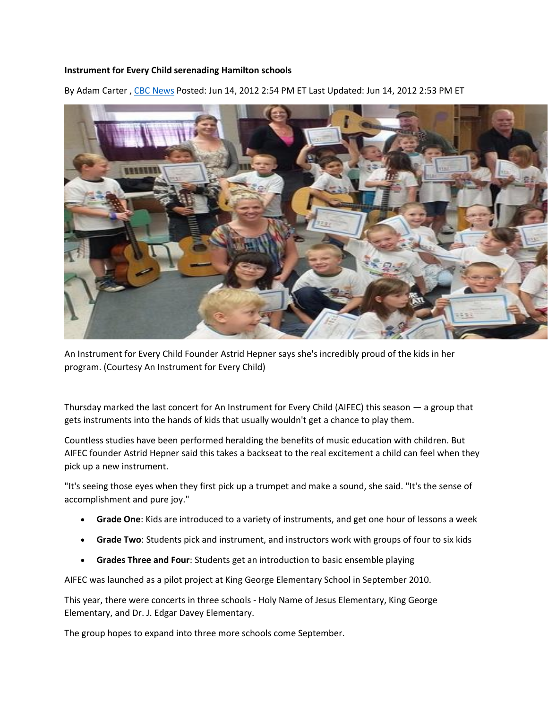## **Instrument for Every Child serenading Hamilton schools**

By Adam Carter , [CBC News](http://www.cbc.ca/news/cbc-news-online-news-staff-list-1.1294364) Posted: Jun 14, 2012 2:54 PM ET Last Updated: Jun 14, 2012 2:53 PM ET



An Instrument for Every Child Founder Astrid Hepner says she's incredibly proud of the kids in her program. (Courtesy An Instrument for Every Child)

Thursday marked the last concert for An Instrument for Every Child (AIFEC) this season — a group that gets instruments into the hands of kids that usually wouldn't get a chance to play them.

Countless studies have been performed heralding the benefits of music education with children. But AIFEC founder Astrid Hepner said this takes a backseat to the real excitement a child can feel when they pick up a new instrument.

"It's seeing those eyes when they first pick up a trumpet and make a sound, she said. "It's the sense of accomplishment and pure joy."

- **Grade One**: Kids are introduced to a variety of instruments, and get one hour of lessons a week
- **Grade Two**: Students pick and instrument, and instructors work with groups of four to six kids
- **Grades Three and Four**: Students get an introduction to basic ensemble playing

AIFEC was launched as a pilot project at King George Elementary School in September 2010.

This year, there were concerts in three schools - Holy Name of Jesus Elementary, King George Elementary, and Dr. J. Edgar Davey Elementary.

The group hopes to expand into three more schools come September.